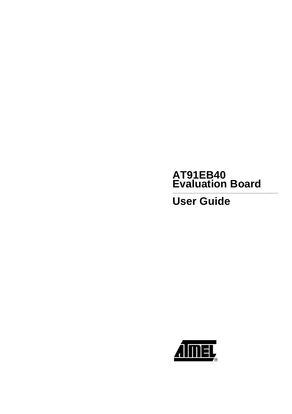# **AT91EB40<br>Evaluation Board**

**User Guide** 

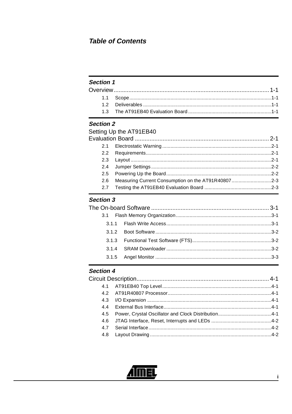# **Table of Contents**

## **Section 1**

## **Section 2**

# Setting Up the AT91EB40

| 2.6 Measuring Current Consumption on the AT91R40807 2-3 |  |
|---------------------------------------------------------|--|
|                                                         |  |
|                                                         |  |

# **Section 3**

# **Section 4**

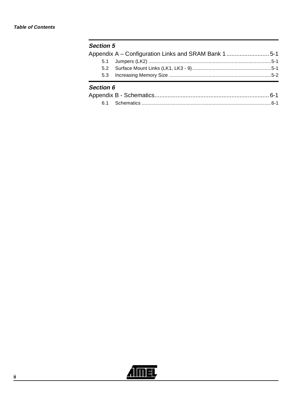| Appendix A – Configuration Links and SRAM Bank 15-1 |  |
|-----------------------------------------------------|--|
|                                                     |  |
|                                                     |  |
|                                                     |  |

## Section 6

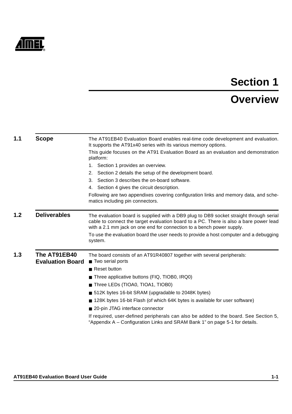<span id="page-4-0"></span>

# **Overview**

| The AT91EB40 Evaluation Board enables real-time code development and evaluation.<br>It supports the AT91x40 series with its various memory options.                                                                                                      |
|----------------------------------------------------------------------------------------------------------------------------------------------------------------------------------------------------------------------------------------------------------|
| This guide focuses on the AT91 Evaluation Board as an evaluation and demonstration<br>platform:                                                                                                                                                          |
| 1. Section 1 provides an overview.                                                                                                                                                                                                                       |
| Section 2 details the setup of the development board.<br>2.                                                                                                                                                                                              |
| Section 3 describes the on-board software.<br>3.                                                                                                                                                                                                         |
| 4. Section 4 gives the circuit description.                                                                                                                                                                                                              |
| Following are two appendixes covering configuration links and memory data, and sche-<br>matics including pin connectors.                                                                                                                                 |
| The evaluation board is supplied with a DB9 plug to DB9 socket straight through serial<br>cable to connect the target evaluation board to a PC. There is also a bare power lead<br>with a 2.1 mm jack on one end for connection to a bench power supply. |
| To use the evaluation board the user needs to provide a host computer and a debugging<br>system.                                                                                                                                                         |
| The board consists of an AT91R40807 together with several peripherals:<br>Two serial ports                                                                                                                                                               |
| ■ Reset button                                                                                                                                                                                                                                           |
| Three applicative buttons (FIQ, TIOB0, IRQ0)                                                                                                                                                                                                             |
| Three LEDs (TIOA0, TIOA1, TIOB0)                                                                                                                                                                                                                         |
| ■ 512K bytes 16-bit SRAM (upgradable to 2048K bytes)                                                                                                                                                                                                     |
| ■ 128K bytes 16-bit Flash (of which 64K bytes is available for user software)                                                                                                                                                                            |
| ■ 20-pin JTAG interface connector                                                                                                                                                                                                                        |
| If required, user-defined peripherals can also be added to the board. See Section 5,<br>"Appendix A – Configuration Links and SRAM Bank 1" on page 5-1 for details.                                                                                      |
|                                                                                                                                                                                                                                                          |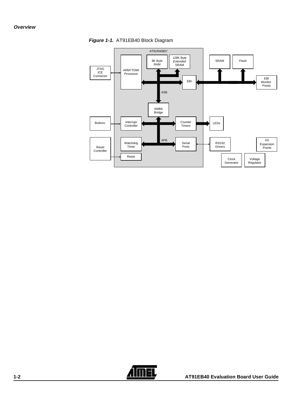**Figure 1-1.** AT91EB40 Block Diagram



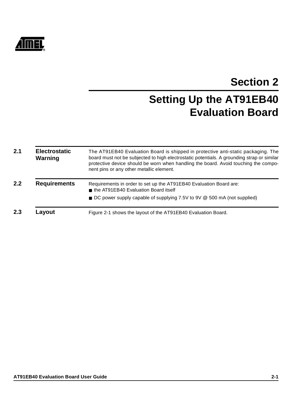<span id="page-6-0"></span>

# **Setting Up the AT91EB40 Evaluation Board**

| 2.1 | <b>Electrostatic</b><br>Warning | The AT91EB40 Evaluation Board is shipped in protective anti-static packaging. The<br>board must not be subjected to high electrostatic potentials. A grounding strap or similar<br>protective device should be worn when handling the board. Avoid touching the compo-<br>nent pins or any other metallic element. |  |  |
|-----|---------------------------------|--------------------------------------------------------------------------------------------------------------------------------------------------------------------------------------------------------------------------------------------------------------------------------------------------------------------|--|--|
| 2.2 | <b>Requirements</b>             | Requirements in order to set up the AT91EB40 Evaluation Board are:<br>the AT91EB40 Evaluation Board itself                                                                                                                                                                                                         |  |  |
|     |                                 | ■ DC power supply capable of supplying 7.5V to 9V @ 500 mA (not supplied)                                                                                                                                                                                                                                          |  |  |
| 2.3 | Layout                          | Figure 2-1 shows the layout of the AT91EB40 Evaluation Board.                                                                                                                                                                                                                                                      |  |  |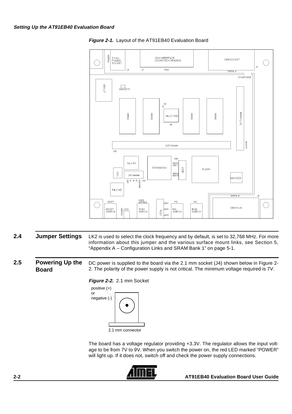<span id="page-7-0"></span>

## **Figure 2-1.** Layout of the AT91EB40 Evaluation Board

- **2.4 Jumper Settings** LK2 is used to select the clock frequency and by default, is set to 32,768 MHz. For more information about this jumper and the various surface mount links, see [Section 5](#page-16-0), ["Appendix A – Configuration Links and SRAM Bank 1" on page](#page-16-0) 5-1.
- **2.5 Powering Up the Board** DC power is supplied to the board via the 2.1 mm socket (J4) shown below in Figure 2- 2. The polarity of the power supply is not critical. The minimum voltage required is 7V.





The board has a voltage regulator providing +3.3V. The regulator allows the input voltage to be from 7V to 9V. When you switch the power on, the red LED marked "POWER" will light up. If it does not, switch off and check the power supply connections.

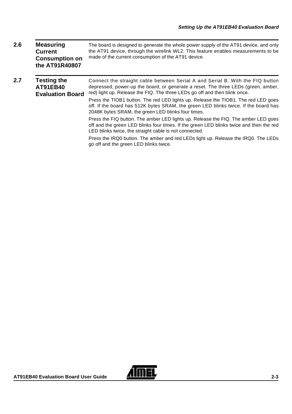### <span id="page-8-0"></span>**2.6 Measuring Current Consumption on the AT91R40807**  The board is designed to generate the whole power supply of the AT91 device, and only the AT91 device, through the wirelink WL2. This feature enables measurements to be made of the current consumption of the AT91 device.

**2.7 Testing the AT91EB40 Evaluation Board** Connect the straight cable between Serial A and Serial B. With the FIQ button depressed, power-up the board, or generate a reset. The three LEDs (green, amber, red) light up. Release the FIQ. The three LEDs go off and then blink once. Press the TIOB1 button. The red LED lights up. Release the TIOB1. The red LED goes off. If the board has 512K bytes SRAM, the green LED blinks twice. If the board has 2048K bytes SRAM, the green LED blinks four times. Press the FIQ button. The amber LED lights up. Release the FIQ. The amber LED goes off and the green LED blinks four times. If the green LED blinks twice and then the red LED blinks twice, the straight cable is not connected. Press the IRQ0 button. The amber and red LEDs light up. Release the IRQ0. The LEDs go off and the green LED blinks twice.

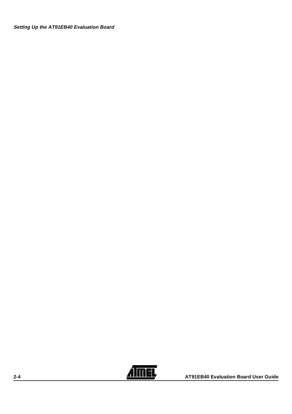**Setting Up the AT91EB40 Evaluation Board**

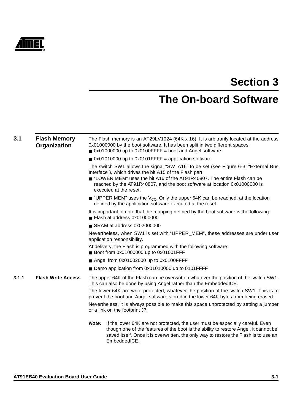<span id="page-10-0"></span>

# **The On-board Software**

## **3.1 Flash Memory Organization**

The Flash memory is an AT29LV1024 (64K x 16). It is arbitrarily located at the address 0x01000000 by the boot software. It has been split in two different spaces:  $\blacksquare$  0x01000000 up to 0x0100FFFF = boot and Angel software

 $\blacksquare$  0x01010000 up to 0x0101FFFF = application software

The switch SW1 allows the signal "SW\_A16" to be set (see [Figure 6-3,](#page-21-0) "External Bus Interface"), which drives the bit A15 of the Flash part:

- "LOWER MEM" uses the bit A16 of the AT91R40807. The entire Flash can be reached by the AT91R40807, and the boot software at location 0x01000000 is executed at the reset.
- "UPPER MEM" uses the  $V_{CC}$ . Only the upper 64K can be reached, at the location defined by the application software executed at the reset.

It is important to note that the mapping defined by the boot software is the following:

- Flash at address 0x01000000
- SRAM at address 0x02000000

Nevertheless, when SW1 is set with "UPPER\_MEM", these addresses are under user application responsibility.

- At delivery, the Flash is programmed with the following software:
- Boot from 0x01000000 up to 0x01001FFF
- Angel from 0x01002000 up to 0x0100FFFF
- Demo application from 0x01010000 up to 0101FFFF

### **3.1.1 Flash Write Access** The upper 64K of the Flash can be overwritten whatever the position of the switch SW1. This can also be done by using Angel rather than the EmbeddedICE.

The lower 64K are write-protected, whatever the position of the switch SW1. This is to prevent the boot and Angel software stored in the lower 64K bytes from being erased.

Nevertheless, it is always possible to make this space unprotected by setting a jumper or a link on the footprint J7.

**Note:** If the lower 64K are not protected, the user must be especially careful. Even though one of the features of the boot is the ability to restore Angel, it cannot be saved itself. Once it is overwritten, the only way to restore the Flash is to use an EmbeddedICE.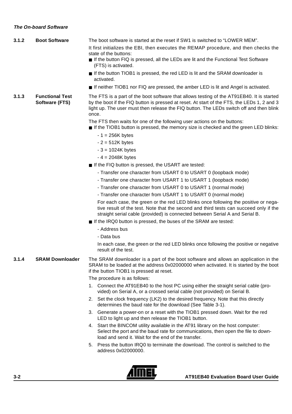### <span id="page-11-0"></span>**The On-board Software**

**3.1.2 Boot Software** The boot software is started at the reset if SW1 is switched to "LOWER MEM".

It first initializes the EBI, then executes the REMAP procedure, and then checks the state of the buttons:

- If the button FIQ is pressed, all the LEDs are lit and the Functional Test Software (FTS) is activated.
- If the button TIOB1 is pressed, the red LED is lit and the SRAM downloader is activated.
- If neither TIOB1 nor FIQ are pressed, the amber LED is lit and Angel is activated.

**3.1.3 Functional Test Software (FTS)** The FTS is a part of the boot software that allows testing of the AT91EB40. It is started by the boot if the FIQ button is pressed at reset. At start of the FTS, the LEDs 1, 2 and 3 light up. The user must then release the FIQ button. The LEDs switch off and then blink once.

The FTS then waits for one of the following user actions on the buttons:

- If the TIOB1 button is pressed, the memory size is checked and the green LED blinks:
	- $-1 = 256K$  bytes
	- $-2 = 512K$  bytes
	- $-3 = 1024K$  bytes
	- $4 = 2048K$  bytes
- If the FIQ button is pressed, the USART are tested:
	- Transfer one character from USART 0 to USART 0 (loopback mode)
	- Transfer one character from USART 1 to USART 1 (loopback mode)
	- Transfer one character from USART 0 to USART 1 (normal mode)
	- Transfer one character from USART 1 to USART 0 (normal mode)

For each case, the green or the red LED blinks once following the positive or negative result of the test. Note that the second and third tests can succeed only if the straight serial cable (provided) is connected between Serial A and Serial B.

- If the IRQ0 button is pressed, the buses of the SRAM are tested:
	- Address bus
	- Data bus

In each case, the green or the red LED blinks once following the positive or negative result of the test.

**3.1.4 SRAM Downloader** The SRAM downloader is a part of the boot software and allows an application in the SRAM to be loaded at the address 0x02000000 when activated. It is started by the boot if the button TIOB1 is pressed at reset.

The procedure is as follows:

- 1. Connect the AT91EB40 to the host PC using either the straight serial cable (provided) on Serial A, or a crossed serial cable (not provided) on Serial B.
- 2. Set the clock frequency (LK2) to the desired frequency. Note that this directly determines the baud rate for the download (S[ee Table 3](#page-12-0)-1).
- 3. Generate a power-on or a reset with the TIOB1 pressed down. Wait for the red LED to light up and then release the TIOB1 button.
- 4. Start the BINCOM utility available in the AT91 library on the host computer: Select the port and the baud rate for communications, then open the file to download and send it. Wait for the end of the transfer.
- 5. Press the button IRQ0 to terminate the download. The control is switched to the address 0x02000000.

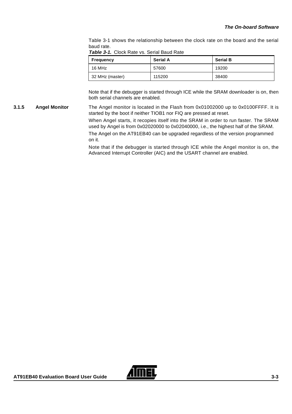<span id="page-12-0"></span>Table 3-1 shows the relationship between the clock rate on the board and the serial baud rate.

| <b>Frequency</b> | <b>Serial A</b> | <b>Serial B</b> |
|------------------|-----------------|-----------------|
| 16 MHz           | 57600           | 19200           |
| 32 MHz (master)  | 115200          | 38400           |

**Table 3-1.** Clock Rate vs. Serial Baud Rate

Note that if the debugger is started through ICE while the SRAM downloader is on, then both serial channels are enabled.

**3.1.5 Angel Monitor** The Angel monitor is located in the Flash from 0x01002000 up to 0x0100FFFF. It is started by the boot if neither TIOB1 nor FIQ are pressed at reset.

> When Angel starts, it recopies itself into the SRAM in order to run faster. The SRAM used by Angel is from 0x02020000 to 0x02040000, i.e., the highest half of the SRAM.

The Angel on the AT91EB40 can be upgraded regardless of the version programmed on it.

Note that if the debugger is started through ICE while the Angel monitor is on, the Advanced Interrupt Controller (AIC) and the USART channel are enabled.

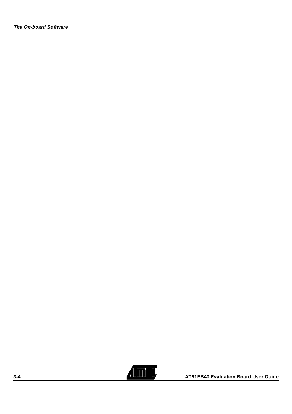**The On-board Software**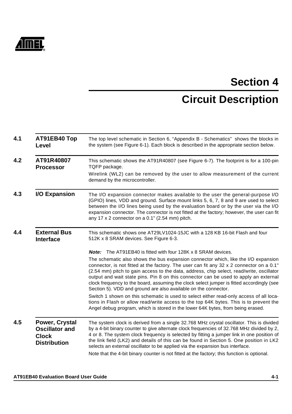<span id="page-14-0"></span>

# **Circuit Description**

| 4.1 | AT91EB40 Top<br>Level                                                          | The top level schematic in Section 6, "Appendix B - Schematics" shows the blocks in<br>the system (see Figure 6-1). Each block is described in the appropriate section below.                                                                                                                                                                                                                                                                                                                                                                                                                                                                                                                                                                                                                                                                                                                                                                                                                                |  |  |
|-----|--------------------------------------------------------------------------------|--------------------------------------------------------------------------------------------------------------------------------------------------------------------------------------------------------------------------------------------------------------------------------------------------------------------------------------------------------------------------------------------------------------------------------------------------------------------------------------------------------------------------------------------------------------------------------------------------------------------------------------------------------------------------------------------------------------------------------------------------------------------------------------------------------------------------------------------------------------------------------------------------------------------------------------------------------------------------------------------------------------|--|--|
| 4.2 | AT91R40807<br><b>Processor</b>                                                 | This schematic shows the AT91R40807 (see Figure 6-7). The footprint is for a 100-pin<br>TQFP package.<br>Wirelink (WL2) can be removed by the user to allow measurement of the current<br>demand by the microcontroller.                                                                                                                                                                                                                                                                                                                                                                                                                                                                                                                                                                                                                                                                                                                                                                                     |  |  |
| 4.3 | <b>I/O Expansion</b>                                                           | The I/O expansion connector makes available to the user the general-purpose I/O<br>(GPIO) lines, VDD and ground. Surface mount links 5, 6, 7, 8 and 9 are used to select<br>between the I/O lines being used by the evaluation board or by the user via the I/O<br>expansion connector. The connector is not fitted at the factory; however, the user can fit<br>any 17 x 2 connector on a 0.1" (2.54 mm) pitch.                                                                                                                                                                                                                                                                                                                                                                                                                                                                                                                                                                                             |  |  |
| 4.4 | <b>External Bus</b><br><b>Interface</b>                                        | This schematic shows one AT29LV1024-15JC with a 128 KB 16-bit Flash and four<br>512K x 8 SRAM devices. See Figure 6-3.<br><b>Note:</b> The AT91EB40 is fitted with four 128K x 8 SRAM devices.<br>The schematic also shows the bus expansion connector which, like the I/O expansion<br>connector, is not fitted at the factory. The user can fit any 32 x 2 connector on a 0.1"<br>(2.54 mm) pitch to gain access to the data, address, chip select, read/write, oscillator<br>output and wait state pins. Pin 8 on this connector can be used to apply an external<br>clock frequency to the board, assuming the clock select jumper is fitted accordingly (see<br>Section 5). VDD and ground are also available on the connector.<br>Switch 1 shown on this schematic is used to select either read-only access of all loca-<br>tions in Flash or allow read/write access to the top 64K bytes. This is to prevent the<br>Angel debug program, which is stored in the lower 64K bytes, from being erased. |  |  |
| 4.5 | Power, Crystal<br><b>Oscillator and</b><br><b>Clock</b><br><b>Distribution</b> | The system clock is derived from a single 32.768 MHz crystal oscillator. This is divided<br>by a 4-bit binary counter to give alternate clock frequencies of 32.768 MHz divided by 2,<br>4 or 8. The system clock frequency is selected by fitting a jumper link in one position of<br>the link field (LK2) and details of this can be found in Section 5. One position in LK2<br>selects an external oscillator to be applied via the expansion bus interface.<br>Note that the 4-bit binary counter is not fitted at the factory; this function is optional.                                                                                                                                                                                                                                                                                                                                                                                                                                               |  |  |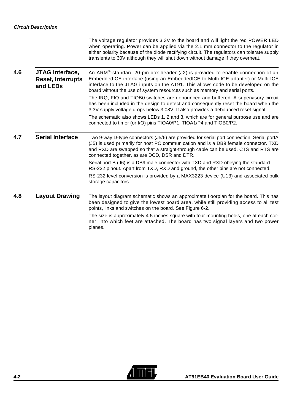The voltage regulator provides 3.3V to the board and will light the red POWER LED when operating. Power can be applied via the 2.1 mm connector to the regulator in either polarity because of the diode rectifying circuit. The regulators can tolerate supply transients to 30V although they will shut down without damage if they overheat.

### <span id="page-15-0"></span>**4.6 JTAG Interface, Reset, Interrupts and LEDs** An ARM<sup>®</sup>-standard 20-pin box header (J2) is provided to enable connection of an EmbeddedICE interface (using an EmbeddedICE to Multi-ICE adapter) or Multi-ICE interface to the JTAG inputs on the AT91. This allows code to be developed on the board without the use of system resources such as memory and serial ports. The IRQ, FIQ and TIOB0 switches are debounced and buffered. A supervisory circuit has been included in the design to detect and consequently reset the board when the 3.3V supply voltage drops below 3.08V. It also provides a debounced reset signal. The schematic also shows LEDs 1, 2 and 3, which are for general purpose use and are

connected to timer (or I/O) pins TIOA0/P1, TIOA1/P4 and TIOB0/P2.

## **4.7 Serial Interface** Two 9-way D-type connectors (J5/6) are provided for serial port connection. Serial portA (J5) is used primarily for host PC communication and is a DB9 female connector. TXD and RXD are swapped so that a straight-through cable can be used. CTS and RTS are connected together, as are DCD, DSR and DTR. Serial port B (J6) is a DB9 male connector with TXD and RXD obeying the standard RS-232 pinout. Apart from TXD, RXD and ground, the other pins are not connected. RS-232 level conversion is provided by a MAX3223 device (U13) and associated bulk storage capacitors. **4.8 Layout Drawing** The layout diagram schematic shows an approximate floorplan for the board. This has been designed to give the lowest board area, while still providing access to all test points, links and switches on the board. S[ee Figure 6](#page-20-0)-2.

The size is approximately 4.5 inches square with four mounting holes, one at each corner, into which feet are attached. The board has two signal layers and two power planes.

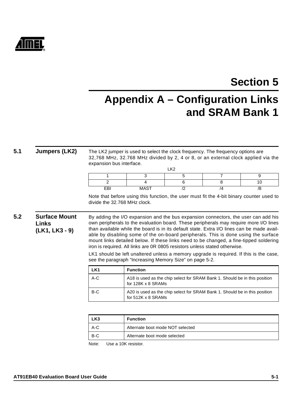<span id="page-16-0"></span>

# **Appendix A – Configuration Links and SRAM Bank 1**

**5.1 Jumpers (LK2)** The LK2 jumper is used to select the clock frequency. The frequency options are 32,768 MHz, 32.768 MHz divided by 2, 4 or 8, or an external clock applied via the expansion bus interface.

|     |             | LK <sub>2</sub> |  |
|-----|-------------|-----------------|--|
|     |             |                 |  |
|     |             |                 |  |
| EBI | <b>MAST</b> |                 |  |

Note that before using this function, the user must fit the 4-bit binary counter used to divide the 32.768 MHz clock.

**5.2 Surface Mount Links (LK1, LK3 - 9)**

By adding the I/O expansion and the bus expansion connectors, the user can add his own peripherals to the evaluation board. These peripherals may require more I/O lines than available while the board is in its default state. Extra I/O lines can be made available by disabling some of the on-board peripherals. This is done using the surface mount links detailed below. If these links need to be changed, a fine-tipped soldering iron is required. All links are 0R 0805 resistors unless stated otherwise.

LK1 should be left unaltered unless a memory upgrade is required. If this is the case, see the paragrap[h "Increasing Memory Size" on page 5](#page-17-0)-2.

| LK <sub>1</sub> | <b>Function</b>                                                                                  |
|-----------------|--------------------------------------------------------------------------------------------------|
| A-C             | A18 is used as the chip select for SRAM Bank 1. Should be in this position<br>for 128K x 8 SRAMs |
| B-C             | A20 is used as the chip select for SRAM Bank 1. Should be in this position<br>for 512K x 8 SRAMs |

| LK <sub>3</sub> | <b>Function</b>                  |
|-----------------|----------------------------------|
| $A-C$           | Alternate boot mode NOT selected |
| B-C             | Alternate boot mode selected     |

Note: Use a 10K resistor.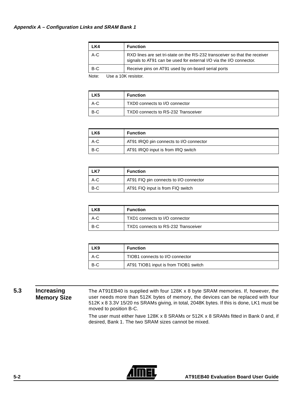<span id="page-17-0"></span>

| LK4   |                     | <b>Function</b>                                                                                                                                   |
|-------|---------------------|---------------------------------------------------------------------------------------------------------------------------------------------------|
| A-C   |                     | RXD lines are set tri-state on the RS-232 transceiver so that the receiver<br>signals to AT91 can be used for external I/O via the I/O connector. |
| B-C   |                     | Receive pins on AT91 used by on-board serial ports                                                                                                |
| Note: | Use a 10K resistor. |                                                                                                                                                   |

| LK5 | <b>Function</b>                     |
|-----|-------------------------------------|
| A-C | TXD0 connects to I/O connector      |
| B-C | TXD0 connects to RS-232 Transceiver |

| LK6 | <b>Function</b>                         |
|-----|-----------------------------------------|
| A-C | AT91 IRQ0 pin connects to I/O connector |
| B-C | AT91 IRQ0 input is from IRQ switch      |

| LK7   | <b>Function</b>                        |
|-------|----------------------------------------|
| $A-C$ | AT91 FIQ pin connects to I/O connector |
| $B-C$ | AT91 FIQ input is from FIQ switch      |

| LK8   | <b>Function</b>                     |
|-------|-------------------------------------|
| $A-C$ | TXD1 connects to I/O connector      |
| $B-C$ | TXD1 connects to RS-232 Transceiver |

| LK9   | <b>Function</b>                       |
|-------|---------------------------------------|
| $A-C$ | TIOB1 connects to I/O connector       |
| B-C   | AT91 TIOB1 input is from TIOB1 switch |

## **5.3 Increasing Memory Size**

The AT91EB40 is supplied with four 128K x 8 byte SRAM memories. If, however, the user needs more than 512K bytes of memory, the devices can be replaced with four 512K x 8 3.3V 15/20 ns SRAMs giving, in total, 2048K bytes. If this is done, LK1 must be moved to position B-C.

The user must either have 128K x 8 SRAMs or 512K x 8 SRAMs fitted in Bank 0 and, if desired, Bank 1. The two SRAM sizes cannot be mixed.

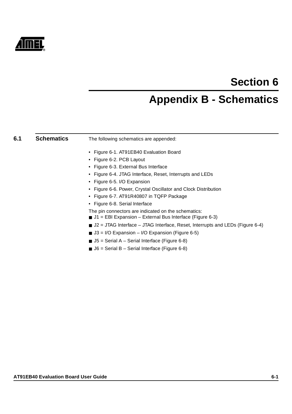<span id="page-18-0"></span>

# **Appendix B - Schematics**

**6.1 Schematics** The following schematics are appended:

- [Figure 6-1](#page-19-0). AT91EB40 Evaluation Board
- [Figure 6-2](#page-20-0). PCB Layout
- [Figure 6-3](#page-21-0). External Bus Interface
- [Figure 6-4](#page-22-0). JTAG Interface, Reset, Interrupts and LEDs
- [Figure 6-5](#page-23-0). I/O Expansion
- [Figure 6-6](#page-24-0). Power, Crystal Oscillator and Clock Distribution
- [Figure 6-7](#page-25-0). AT91R40807 in TQFP Package
- [Figure 6-8](#page-26-0). Serial Interface

The pin connectors are indicated on the schematics:

- J1 = EBI Expansion External Bus Interfac[e \(Figure 6](#page-21-0)-3)
- J2 = JTAG Interface JTAG Interface, Reset, Interrupts and LE[Ds \(Figure](#page-22-0) 6-4)
- $\blacksquare$  J3 = I/O Expansion I/O Expansio[n \(Figure 6](#page-23-0)-5)
- $\blacksquare$  J5 = Serial A Serial Interfac[e \(Figure 6](#page-26-0)-8)
- $\blacksquare$  J6 = Serial B Serial Interfac[e \(Figure 6](#page-26-0)-8)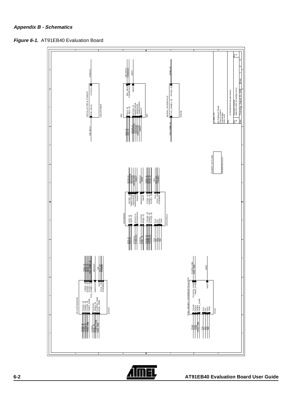## <span id="page-19-0"></span>**Figure 6-1.** AT91EB40 Evaluation Board

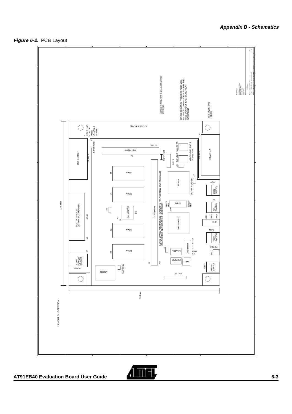<span id="page-20-0"></span>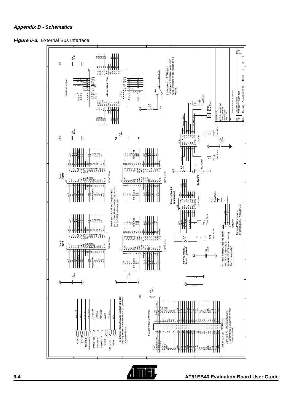## <span id="page-21-0"></span>**Figure 6-3.** External Bus Interface



**6-4 AT91EB40 Evaluation Board User Guide**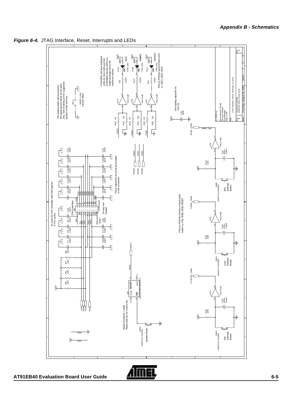

<span id="page-22-0"></span>**Figure 6-4.** JTAG Interface, Reset, Interrupts and LEDs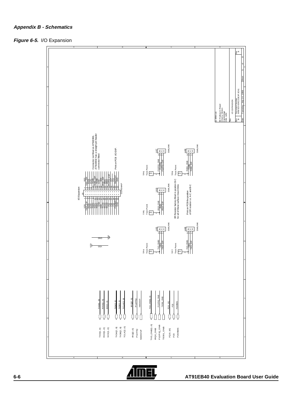## <span id="page-23-0"></span>**Figure 6-5.** I/O Expansion

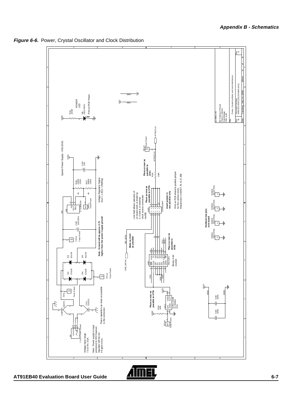

<span id="page-24-0"></span>**Figure 6-6.** Power, Crystal Oscillator and Clock Distribution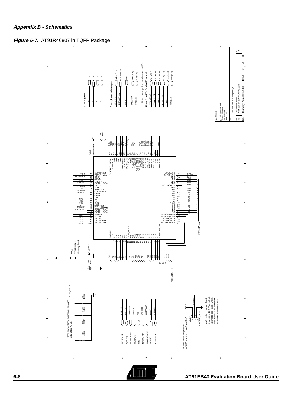<span id="page-25-0"></span>

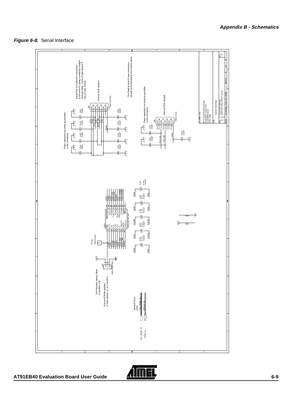<span id="page-26-0"></span>